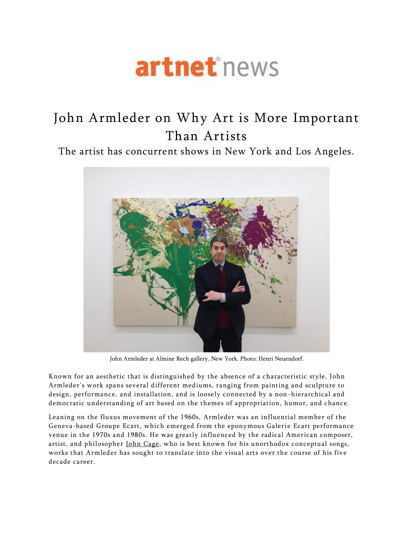# artnet<sup>\*</sup>news

# John Armleder on Why Art is More Important Than Artists

The artist has concurrent shows in New York and Los Angeles.



John Armleder at Almine Rech gallery, New York. Photo: Henri Neuendorf.

Known for an aesthetic that is distinguished by the absence of a characteristic style, John Armleder's work spans several different mediums, ranging from painting and sculpture to design, performance, and installation, and is loosely connected by a non -hierarchical and democratic understanding of art based on the themes of appropriation, humor, and chance.

Leaning on the fluxus movement of the 1960s, Armleder was an influential member of the Geneva-based Groupe Ecart, which emerged from the eponymous Galerie Ecart performance venue in the 1970s and 1980s. He was greatly influenced by the radical American composer, artist, and philosopher [John Cage,](http://www.artnet.com/artists/john-cage/) who is best known for his unorthodox conceptual songs, works that Armleder has sought to translate into the visual arts over the course of his five decade career.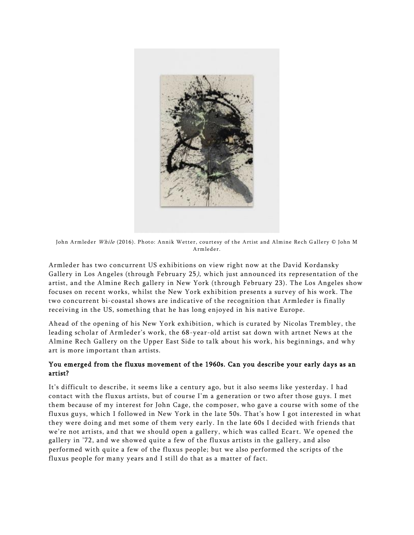

John Armleder While (2016). Photo: Annik Wetter, courtesy of the Artist and Almine Rech Gallery © John M Armleder.

Armleder has two concurrent US exhibitions on view right now at the David Kordansky Gallery in Los Angeles (through February 25), which just announced its representation of the artist, and the Almine Rech gallery in New York (through February 23). The Los Angeles show focuses on recent works, whilst the New York exhibition presents a survey of his work. The two concurrent bi-coastal shows are indicative of the recognition that Armleder is finally receiving in the US, something that he has long enjoyed in his native Europe.

Ahead of the opening of his New York exhibition, which is curated by Nicolas Trembley, the leading scholar of Armleder's work, the 68 -year-old artist sat down with artnet News at the Almine Rech Gallery on the Upper East Side to talk about his work, his beginnings, and why art is more important than artists.

#### You emerged from the fluxus movement of the 1960s. Can you describe your early days as an artist?

It's difficult to describe, it seems like a century ago, but it also seems like yesterday. I had contact with the fluxus artists, but of course I'm a generation or two after those guys. I met them because of my interest for John Cage, the composer, who gave a course with some of the fluxus guys, which I followed in New York in the late 50s. That's how I got interested in what they were doing and met some of them very early. In the late 60s I decided with friends that we're not artists, and that we should open a gallery, which was called Ecart. We opened the gallery in '72, and we showed quite a few of the fluxus artists in the gallery, and also performed with quite a few of the fluxus people; but we also performed the scripts of the fluxus people for many years and I still do that as a matter of fact.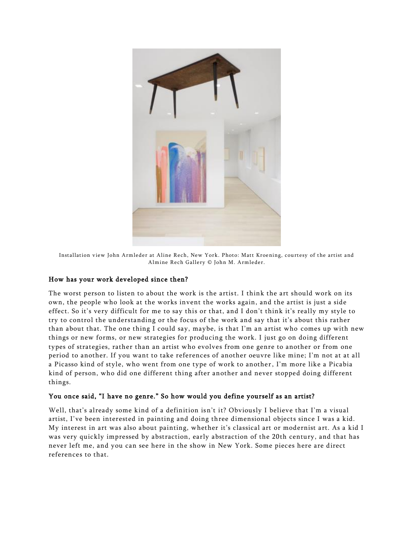

Installation view John Armleder at Aline Rech, New York. Photo: Matt Kroening, courtesy of the artist and Almine Rech Gallery © John M. Armleder.

#### How has your work developed since then?

The worst person to listen to about the work is the artist. I think the art should work on its own, the people who look at the works invent the works again, and the artist is just a side effect. So it's very difficult for me to say this or that, and I don't think it's really my style to try to control the understanding or the focus of the work and say that it's about this rather than about that. The one thing I could say, maybe, is that I'm an artist who comes up with new things or new forms, or new strategies for producing the work. I just go on doing different types of strategies, rather than an artist who evolves from one genre to another or from one period to another. If you want to take references of another oeuvre like mine; I'm not at at all a Picasso kind of style, who went from one type of work to another, I'm more like a Picabia kind of person, who did one different thing after another and never stopped doing different things.

#### You once said, "I have no genre." So how would you define yourself as an artist?

Well, that's already some kind of a definition isn't it? Obviously I believe that I'm a visual artist, I've been interested in painting and doing three dimensional objects since I was a kid. My interest in art was also about painting, whether it's classical art or modernist art. As a kid I was very quickly impressed by abstraction, early abstraction of the 20th century, and that has never left me, and you can see here in the show in New York. Some pieces here are direct references to that.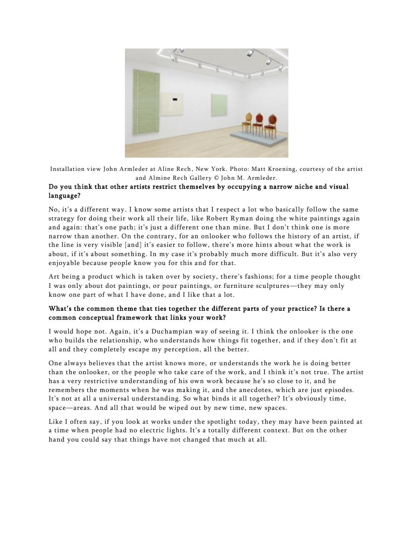

Installation view John Armleder at Aline Rech , New York. Photo: Matt Kroening, courtesy of the artist and Almine Rech Gallery © John M. Armleder.

# Do you think that other artists restrict themselves by occupying a narrow niche and visual language?

No, it's a different way. I know some artists that I r espect a lot who basically follow the same strategy for doing their work all their life, like Robert Ryman doing the white paintings again and again: that's one path; it's just a different one than mine. But I don't think one is more narrow than another. On the contrary, for an onlooker who follows the history of an artist, if the line is very visible [and] it's easier to follow, there's more hints about what the work is about, if it's about something. In my case it's probably much more difficult. But it's also very enjoyable because people know you for this and for that.

Art being a product which is taken over by society, there's fashions; for a time people thought I was only about dot paintings, or pour paintings, or furniture sculptures—they may only know one part of what I have done, and I like that a lot.

## What's the common theme that ties together the different parts of your practice? Is there a common conceptual framework that links your work?

I would hope not. Again, it's a Duchampian way of seeing it. I think the onlooker is the one who builds the relationship, who understands how things fit together, and if they don't fit at all and they completely escape my perception, all the better.

One always believes that the artist knows more, or understands the work he is doing better than the onlooker, or the people who take care of the work, and I think it's not true. The artist has a very restrictive understanding of his own work because he's so close to it, and he remembers the moments when he was making it, and the anecdotes, which are just episodes. It's not at all a universal understanding. So what binds it all together? It's obviously time, space—areas. And all that would be wiped out by new time, new spaces.

Like I often say, if you look at works under the spotlight today, they may have been painted at a time when people had no electric lights. It's a totally different context. But on the other hand you could say that things have not changed that much at all.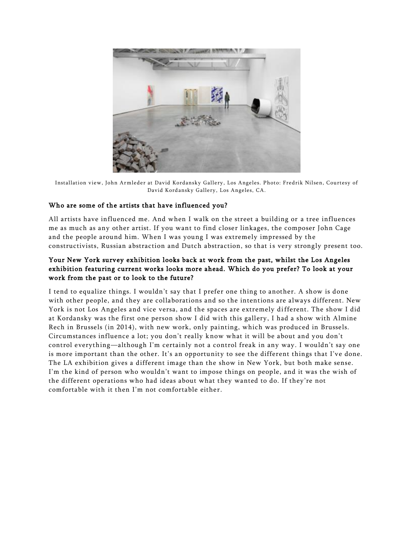

Installation view, John Armleder at David Kordansky Gallery, Los Angeles. Photo: Fredrik Nilsen, Courtesy of David Kordansky Gallery, Los Angeles, CA.

## Who are some of the artists that have influenced you?

All artists have influenced me. And when I walk on the street a building or a tree influences me as much as any other artist. If you want to find closer linkages, the composer John Cage and the people around him. When I was young I was extremely impressed by the constructivists, Russian abstraction and Dutch abstraction, so that is very strongly present too.

# Your New York survey exhibition looks back at work from the past, whilst the Los Angeles exhibition featuring current works looks more ahead. Which do you prefer? To look at your work from the past or to look to the future?

I tend to equalize things. I wouldn't say that I prefer one thing to another. A show is done with other people, and they are collaborations and so the intentions are always different. New York is not Los Angeles and vice versa, and the spaces are extremely different. The show I did at Kordansky was the first one person show I did with this gallery, I had a show with Almine Rech in Brussels (in 2014), with new work, only painting, which was produced in Brussels. Circumstances influence a lot; you don't really know what it will be about and you don't control everything—although I'm certainly not a control freak in any way. I wouldn't say one is more important than the other. It's an opportunity to see the different things that I've done. The LA exhibition gives a different image than the show in New York, but both make sense. I'm the kind of person who wouldn't want to impose things on people, and it was the wish of the different operations who had ideas about what they wanted to do. If they're not comfortable with it then I'm not comfortable either.